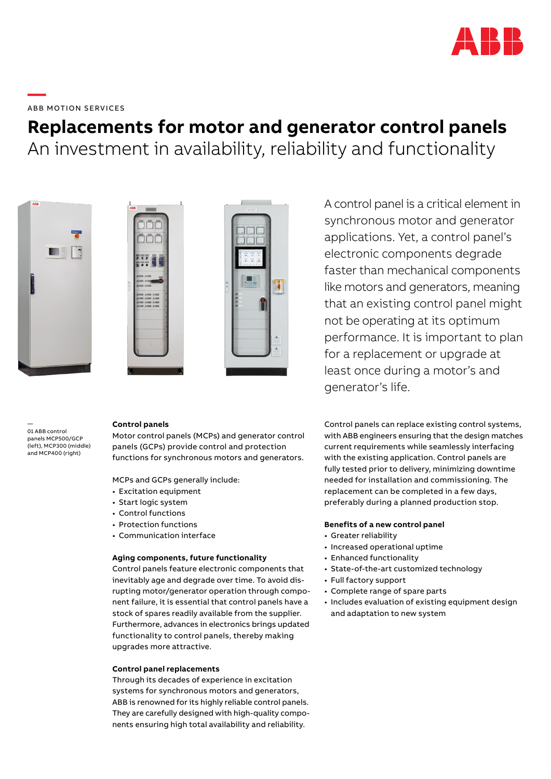

## **—**  ABB MOTION SERVICES

# **Replacements for motor and generator control panels** An investment in availability, reliability and functionality







— 01 ABB control panels MCP500/GCP (left), MCP300 (middle) and MCP400 (right)

#### **Control panels**

Motor control panels (MCPs) and generator control panels (GCPs) provide control and protection functions for synchronous motors and generators.

MCPs and GCPs generally include:

- Excitation equipment
- Start logic system
- Control functions
- Protection functions
- Communication interface

#### **Aging components, future functionality**

Control panels feature electronic components that inevitably age and degrade over time. To avoid disrupting motor/generator operation through component failure, it is essential that control panels have a stock of spares readily available from the supplier. Furthermore, advances in electronics brings updated functionality to control panels, thereby making upgrades more attractive.

#### **Control panel replacements**

Through its decades of experience in excitation systems for synchronous motors and generators, ABB is renowned for its highly reliable control panels. They are carefully designed with high-quality components ensuring high total availability and reliability.

A control panel is a critical element in synchronous motor and generator applications. Yet, a control panel's electronic components degrade faster than mechanical components like motors and generators, meaning that an existing control panel might not be operating at its optimum performance. It is important to plan for a replacement or upgrade at least once during a motor's and generator's life.

Control panels can replace existing control systems, with ABB engineers ensuring that the design matches current requirements while seamlessly interfacing with the existing application. Control panels are fully tested prior to delivery, minimizing downtime needed for installation and commissioning. The replacement can be completed in a few days, preferably during a planned production stop.

#### **Benefits of a new control panel**

- Greater reliability
- Increased operational uptime
- Enhanced functionality
- State-of-the-art customized technology
- Full factory support
- Complete range of spare parts
- Includes evaluation of existing equipment design and adaptation to new system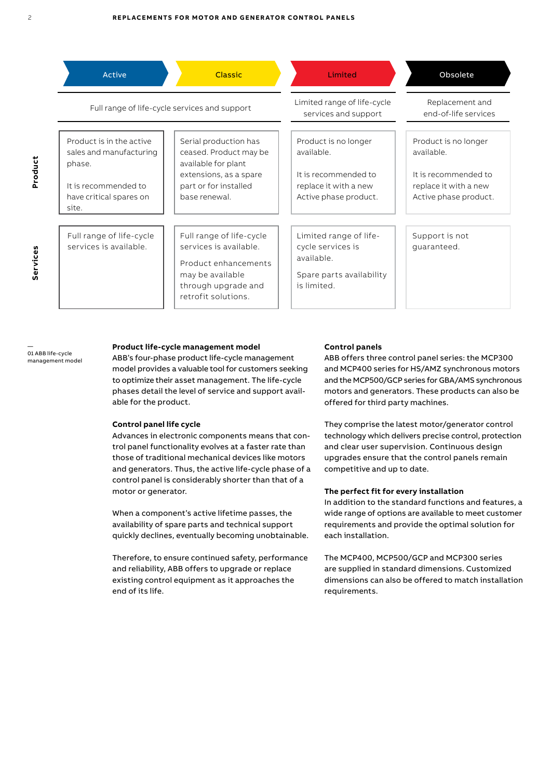|          | Active                                                                                                                    | Classic                                                                                                                                      | Limited                                                                                                      | Obsolete                                                                                                     |
|----------|---------------------------------------------------------------------------------------------------------------------------|----------------------------------------------------------------------------------------------------------------------------------------------|--------------------------------------------------------------------------------------------------------------|--------------------------------------------------------------------------------------------------------------|
|          | Full range of life-cycle services and support                                                                             |                                                                                                                                              | Limited range of life-cycle<br>services and support                                                          | Replacement and<br>end-of-life services                                                                      |
| Product  | Product is in the active<br>sales and manufacturing<br>phase.<br>It is recommended to<br>have critical spares on<br>site. | Serial production has<br>ceased. Product may be<br>available for plant<br>extensions, as a spare<br>part or for installed<br>base renewal.   | Product is no longer<br>available.<br>It is recommended to<br>replace it with a new<br>Active phase product. | Product is no longer<br>available.<br>It is recommended to<br>replace it with a new<br>Active phase product. |
| Services | Full range of life-cycle<br>services is available.                                                                        | Full range of life-cycle<br>services is available.<br>Product enhancements<br>may be available<br>through upgrade and<br>retrofit solutions. | Limited range of life-<br>cycle services is<br>available.<br>Spare parts availability<br>is limited.         | Support is not<br>quaranteed.                                                                                |

#### — 01 ABB life-cycle management model

#### **Product life-cycle management model**

ABB's four-phase product life-cycle management model provides a valuable tool for customers seeking to optimize their asset management. The life-cycle phases detail the level of service and support available for the product.

#### **Control panel life cycle**

Advances in electronic components means that control panel functionality evolves at a faster rate than those of traditional mechanical devices like motors and generators. Thus, the active life-cycle phase of a control panel is considerably shorter than that of a motor or generator.

When a component's active lifetime passes, the availability of spare parts and technical support quickly declines, eventually becoming unobtainable.

Therefore, to ensure continued safety, performance and reliability, ABB offers to upgrade or replace existing control equipment as it approaches the end of its life.

#### **Control panels**

ABB offers three control panel series: the MCP300 and MCP400 series for HS/AMZ synchronous motors and the MCP500/GCP series for GBA/AMS synchronous motors and generators. These products can also be offered for third party machines.

They comprise the latest motor/generator control technology which delivers precise control, protection and clear user supervision. Continuous design upgrades ensure that the control panels remain competitive and up to date.

#### **The perfect fit for every installation**

In addition to the standard functions and features, a wide range of options are available to meet customer requirements and provide the optimal solution for each installation.

The MCP400, MCP500/GCP and MCP300 series are supplied in standard dimensions. Customized dimensions can also be offered to match installation requirements.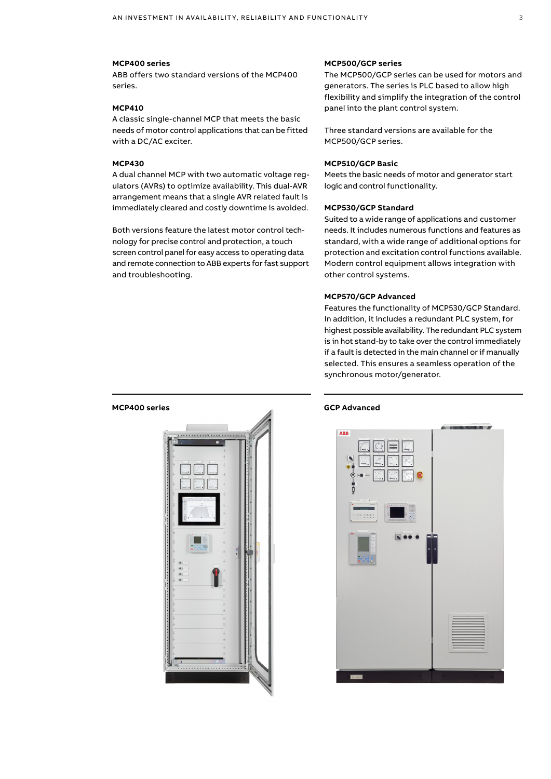#### **MCP400 series**

ABB offers two standard versions of the MCP400 series.

#### **MCP410**

A classic single-channel MCP that meets the basic needs of motor control applications that can be fitted with a DC/AC exciter.

#### **MCP430**

A dual channel MCP with two automatic voltage regulators (AVRs) to optimize availability. This dual-AVR arrangement means that a single AVR related fault is immediately cleared and costly downtime is avoided.

Both versions feature the latest motor control technology for precise control and protection, a touch screen control panel for easy access to operating data and remote connection to ABB experts for fast support and troubleshooting.

#### **MCP500/GCP series**

The MCP500/GCP series can be used for motors and generators. The series is PLC based to allow high flexibility and simplify the integration of the control panel into the plant control system.

Three standard versions are available for the MCP500/GCP series.

#### **MCP510/GCP Basic**

Meets the basic needs of motor and generator start logic and control functionality.

### **MCP530/GCP Standard**

Suited to a wide range of applications and customer needs. It includes numerous functions and features as standard, with a wide range of additional options for protection and excitation control functions available. Modern control equipment allows integration with other control systems.

#### **MCP570/GCP Advanced**

Features the functionality of MCP530/GCP Standard. In addition, it includes a redundant PLC system, for highest possible availability. The redundant PLC system is in hot stand-by to take over the control immediately if a fault is detected in the main channel or if manually selected. This ensures a seamless operation of the synchronous motor/generator.



#### **MCP400 series GCP Advanced**